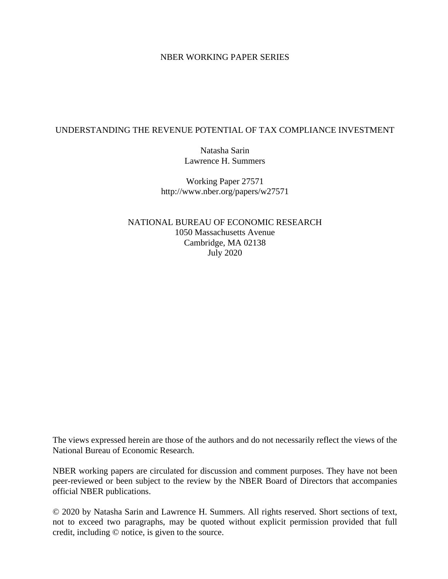## NBER WORKING PAPER SERIES

# UNDERSTANDING THE REVENUE POTENTIAL OF TAX COMPLIANCE INVESTMENT

Natasha Sarin Lawrence H. Summers

Working Paper 27571 http://www.nber.org/papers/w27571

NATIONAL BUREAU OF ECONOMIC RESEARCH 1050 Massachusetts Avenue Cambridge, MA 02138 July 2020

The views expressed herein are those of the authors and do not necessarily reflect the views of the National Bureau of Economic Research.

NBER working papers are circulated for discussion and comment purposes. They have not been peer-reviewed or been subject to the review by the NBER Board of Directors that accompanies official NBER publications.

© 2020 by Natasha Sarin and Lawrence H. Summers. All rights reserved. Short sections of text, not to exceed two paragraphs, may be quoted without explicit permission provided that full credit, including © notice, is given to the source.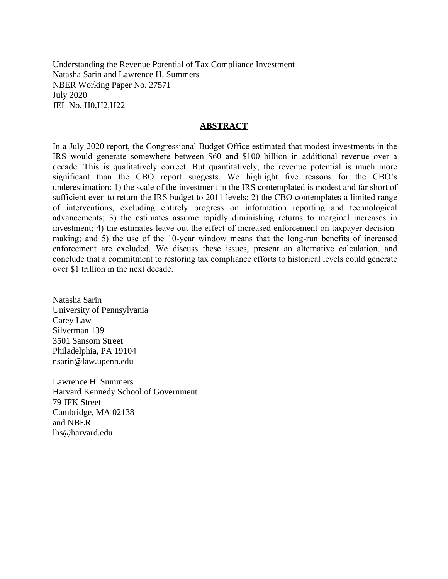Understanding the Revenue Potential of Tax Compliance Investment Natasha Sarin and Lawrence H. Summers NBER Working Paper No. 27571 July 2020 JEL No. H0,H2,H22

#### **ABSTRACT**

In a July 2020 report, the Congressional Budget Office estimated that modest investments in the IRS would generate somewhere between \$60 and \$100 billion in additional revenue over a decade. This is qualitatively correct. But quantitatively, the revenue potential is much more significant than the CBO report suggests. We highlight five reasons for the CBO's underestimation: 1) the scale of the investment in the IRS contemplated is modest and far short of sufficient even to return the IRS budget to 2011 levels; 2) the CBO contemplates a limited range of interventions, excluding entirely progress on information reporting and technological advancements; 3) the estimates assume rapidly diminishing returns to marginal increases in investment; 4) the estimates leave out the effect of increased enforcement on taxpayer decisionmaking; and 5) the use of the 10-year window means that the long-run benefits of increased enforcement are excluded. We discuss these issues, present an alternative calculation, and conclude that a commitment to restoring tax compliance efforts to historical levels could generate over \$1 trillion in the next decade.

Natasha Sarin University of Pennsylvania Carey Law Silverman 139 3501 Sansom Street Philadelphia, PA 19104 nsarin@law.upenn.edu

Lawrence H. Summers Harvard Kennedy School of Government 79 JFK Street Cambridge, MA 02138 and NBER lhs@harvard.edu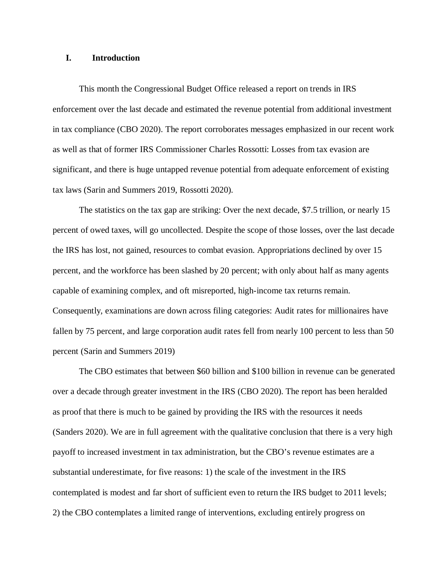### **I. Introduction**

This month the Congressional Budget Office released a report on trends in IRS enforcement over the last decade and estimated the revenue potential from additional investment in tax compliance (CBO 2020). The report corroborates messages emphasized in our recent work as well as that of former IRS Commissioner Charles Rossotti: Losses from tax evasion are significant, and there is huge untapped revenue potential from adequate enforcement of existing tax laws (Sarin and Summers 2019, Rossotti 2020).

The statistics on the tax gap are striking: Over the next decade, \$7.5 trillion, or nearly 15 percent of owed taxes, will go uncollected. Despite the scope of those losses, over the last decade the IRS has lost, not gained, resources to combat evasion. Appropriations declined by over 15 percent, and the workforce has been slashed by 20 percent; with only about half as many agents capable of examining complex, and oft misreported, high-income tax returns remain. Consequently, examinations are down across filing categories: Audit rates for millionaires have fallen by 75 percent, and large corporation audit rates fell from nearly 100 percent to less than 50 percent (Sarin and Summers 2019)

The CBO estimates that between \$60 billion and \$100 billion in revenue can be generated over a decade through greater investment in the IRS (CBO 2020). The report has been heralded as proof that there is much to be gained by providing the IRS with the resources it needs (Sanders 2020). We are in full agreement with the qualitative conclusion that there is a very high payoff to increased investment in tax administration, but the CBO's revenue estimates are a substantial underestimate, for five reasons: 1) the scale of the investment in the IRS contemplated is modest and far short of sufficient even to return the IRS budget to 2011 levels; 2) the CBO contemplates a limited range of interventions, excluding entirely progress on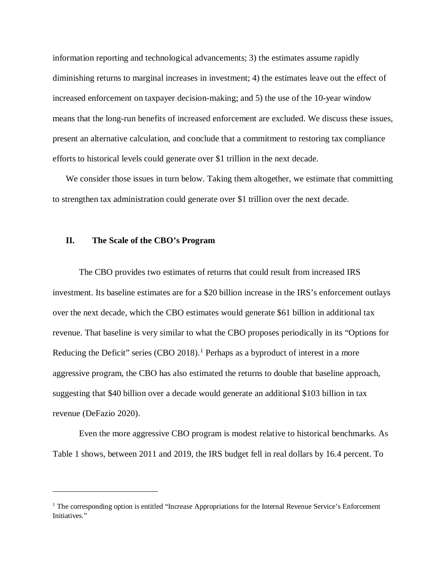information reporting and technological advancements; 3) the estimates assume rapidly diminishing returns to marginal increases in investment; 4) the estimates leave out the effect of increased enforcement on taxpayer decision-making; and 5) the use of the 10-year window means that the long-run benefits of increased enforcement are excluded. We discuss these issues, present an alternative calculation, and conclude that a commitment to restoring tax compliance efforts to historical levels could generate over \$1 trillion in the next decade.

We consider those issues in turn below. Taking them altogether, we estimate that committing to strengthen tax administration could generate over \$1 trillion over the next decade.

#### **II. The Scale of the CBO's Program**

Ξ

The CBO provides two estimates of returns that could result from increased IRS investment. Its baseline estimates are for a \$20 billion increase in the IRS's enforcement outlays over the next decade, which the CBO estimates would generate \$61 billion in additional tax revenue. That baseline is very similar to what the CBO proposes periodically in its "Options for Reducing the Deficit" series (CBO 20[1](#page-3-0)8).<sup>1</sup> Perhaps as a byproduct of interest in a more aggressive program, the CBO has also estimated the returns to double that baseline approach, suggesting that \$40 billion over a decade would generate an additional \$103 billion in tax revenue (DeFazio 2020).

Even the more aggressive CBO program is modest relative to historical benchmarks. As Table 1 shows, between 2011 and 2019, the IRS budget fell in real dollars by 16.4 percent. To

<span id="page-3-0"></span><sup>&</sup>lt;sup>1</sup> The corresponding option is entitled "Increase Appropriations for the Internal Revenue Service's Enforcement Initiatives."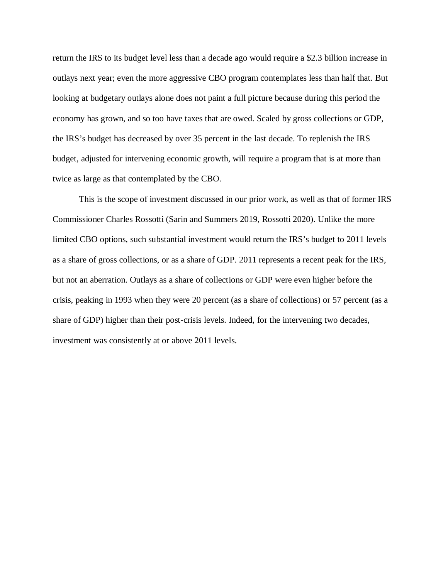return the IRS to its budget level less than a decade ago would require a \$2.3 billion increase in outlays next year; even the more aggressive CBO program contemplates less than half that. But looking at budgetary outlays alone does not paint a full picture because during this period the economy has grown, and so too have taxes that are owed. Scaled by gross collections or GDP, the IRS's budget has decreased by over 35 percent in the last decade. To replenish the IRS budget, adjusted for intervening economic growth, will require a program that is at more than twice as large as that contemplated by the CBO.

This is the scope of investment discussed in our prior work, as well as that of former IRS Commissioner Charles Rossotti (Sarin and Summers 2019, Rossotti 2020). Unlike the more limited CBO options, such substantial investment would return the IRS's budget to 2011 levels as a share of gross collections, or as a share of GDP. 2011 represents a recent peak for the IRS, but not an aberration. Outlays as a share of collections or GDP were even higher before the crisis, peaking in 1993 when they were 20 percent (as a share of collections) or 57 percent (as a share of GDP) higher than their post-crisis levels. Indeed, for the intervening two decades, investment was consistently at or above 2011 levels.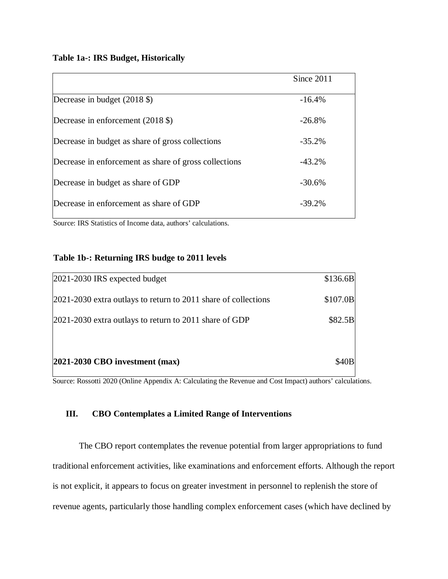# **Table 1a-: IRS Budget, Historically**

|                                                                | Since 2011 |
|----------------------------------------------------------------|------------|
| Decrease in budget (2018 \$)                                   | $-16.4%$   |
| Decrease in enforcement $(2018 \text{ } \text{\textsterling})$ | $-26.8%$   |
| Decrease in budget as share of gross collections               | $-35.2%$   |
| Decrease in enforcement as share of gross collections          | $-43.2%$   |
| Decrease in budget as share of GDP                             | $-30.6%$   |
| Decrease in enforcement as share of GDP                        | $-39.2%$   |

Source: IRS Statistics of Income data, authors' calculations.

# **Table 1b-: Returning IRS budge to 2011 levels**

| 2021-2030 IRS expected budget                                      | \$136.6B    |
|--------------------------------------------------------------------|-------------|
| $[2021-2030]$ extra outlays to return to 2011 share of collections | \$107.0B    |
| $[2021-2030]$ extra outlays to return to 2011 share of GDP         | \$82.5B     |
|                                                                    |             |
| $ 2021-2030$ CBO investment (max)                                  | <b>S40B</b> |

Source: Rossotti 2020 (Online Appendix A: Calculating the Revenue and Cost Impact) authors' calculations.

# **III. CBO Contemplates a Limited Range of Interventions**

The CBO report contemplates the revenue potential from larger appropriations to fund traditional enforcement activities, like examinations and enforcement efforts. Although the report is not explicit, it appears to focus on greater investment in personnel to replenish the store of revenue agents, particularly those handling complex enforcement cases (which have declined by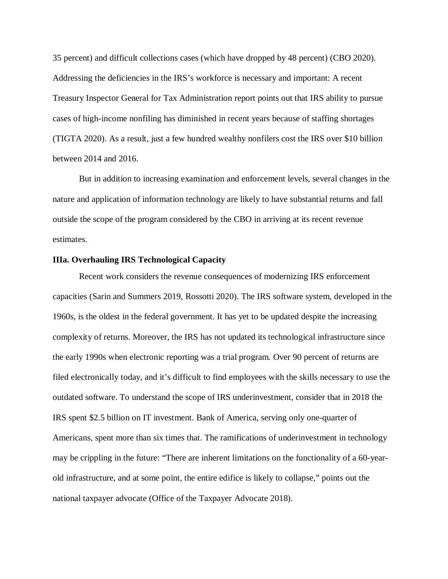35 percent) and difficult collections cases (which have dropped by 48 percent) (CBO 2020). Addressing the deficiencies in the IRS's workforce is necessary and important: A recent Treasury Inspector General for Tax Administration report points out that IRS ability to pursue cases of high-income nonfiling has diminished in recent years because of staffing shortages (TIGTA 2020). As a result, just a few hundred wealthy nonfilers cost the IRS over \$10 billion between 2014 and 2016.

But in addition to increasing examination and enforcement levels, several changes in the nature and application of information technology are likely to have substantial returns and fall outside the scope of the program considered by the CBO in arriving at its recent revenue estimates.

#### **IIIa. Overhauling IRS Technological Capacity**

Recent work considers the revenue consequences of modernizing IRS enforcement capacities (Sarin and Summers 2019, Rossotti 2020). The IRS software system, developed in the 1960s, is the oldest in the federal government. It has yet to be updated despite the increasing complexity of returns. Moreover, the IRS has not updated its technological infrastructure since the early 1990s when electronic reporting was a trial program. Over 90 percent of returns are filed electronically today, and it's difficult to find employees with the skills necessary to use the outdated software. To understand the scope of IRS underinvestment, consider that in 2018 the IRS spent \$2.5 billion on IT investment. Bank of America, serving only one-quarter of Americans, spent more than six times that. The ramifications of underinvestment in technology may be crippling in the future: "There are inherent limitations on the functionality of a 60-yearold infrastructure, and at some point, the entire edifice is likely to collapse," points out the national taxpayer advocate (Office of the Taxpayer Advocate 2018).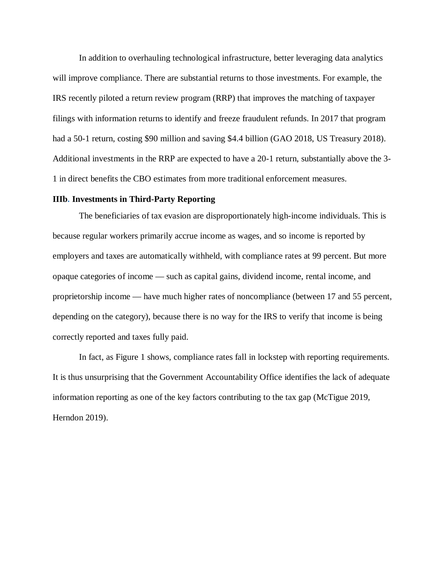In addition to overhauling technological infrastructure, better leveraging data analytics will improve compliance. There are substantial returns to those investments. For example, the IRS recently piloted a return review program (RRP) that improves the matching of taxpayer filings with information returns to identify and freeze fraudulent refunds. In 2017 that program had a 50-1 return, costing \$90 million and saving \$4.4 billion (GAO 2018, US Treasury 2018). Additional investments in the RRP are expected to have a 20-1 return, substantially above the 3- 1 in direct benefits the CBO estimates from more traditional enforcement measures.

#### **IIIb. Investments in Third-Party Reporting**

The beneficiaries of tax evasion are disproportionately high-income individuals. This is because regular workers primarily accrue income as wages, and so income is reported by employers and taxes are automatically withheld, with compliance rates at 99 percent. But more opaque categories of income — such as capital gains, dividend income, rental income, and proprietorship income — have much higher rates of noncompliance (between 17 and 55 percent, depending on the category), because there is no way for the IRS to verify that income is being correctly reported and taxes fully paid.

In fact, as Figure 1 shows, compliance rates fall in lockstep with reporting requirements. It is thus unsurprising that the Government Accountability Office identifies the lack of adequate information reporting as one of the key factors contributing to the tax gap (McTigue 2019, Herndon 2019).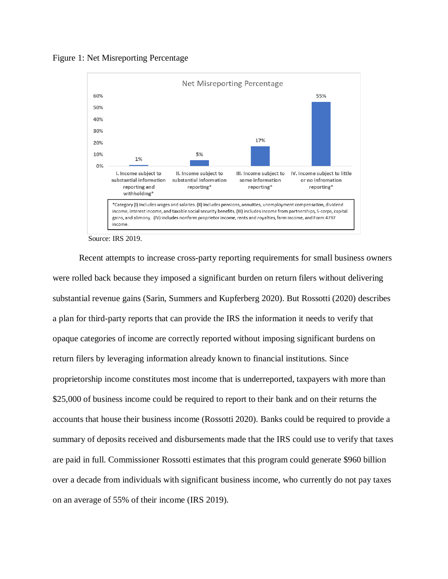



Source: IRS 2019.

Recent attempts to increase cross-party reporting requirements for small business owners were rolled back because they imposed a significant burden on return filers without delivering substantial revenue gains (Sarin, Summers and Kupferberg 2020). But Rossotti (2020) describes a plan for third-party reports that can provide the IRS the information it needs to verify that opaque categories of income are correctly reported without imposing significant burdens on return filers by leveraging information already known to financial institutions. Since proprietorship income constitutes most income that is underreported, taxpayers with more than \$25,000 of business income could be required to report to their bank and on their returns the accounts that house their business income (Rossotti 2020). Banks could be required to provide a summary of deposits received and disbursements made that the IRS could use to verify that taxes are paid in full. Commissioner Rossotti estimates that this program could generate \$960 billion over a decade from individuals with significant business income, who currently do not pay taxes on an average of 55% of their income (IRS 2019).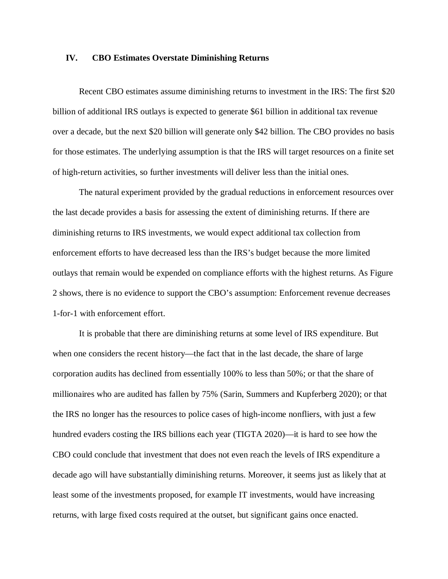### **IV. CBO Estimates Overstate Diminishing Returns**

Recent CBO estimates assume diminishing returns to investment in the IRS: The first \$20 billion of additional IRS outlays is expected to generate \$61 billion in additional tax revenue over a decade, but the next \$20 billion will generate only \$42 billion. The CBO provides no basis for those estimates. The underlying assumption is that the IRS will target resources on a finite set of high-return activities, so further investments will deliver less than the initial ones.

The natural experiment provided by the gradual reductions in enforcement resources over the last decade provides a basis for assessing the extent of diminishing returns. If there are diminishing returns to IRS investments, we would expect additional tax collection from enforcement efforts to have decreased less than the IRS's budget because the more limited outlays that remain would be expended on compliance efforts with the highest returns. As Figure 2 shows, there is no evidence to support the CBO's assumption: Enforcement revenue decreases 1-for-1 with enforcement effort.

It is probable that there are diminishing returns at some level of IRS expenditure. But when one considers the recent history—the fact that in the last decade, the share of large corporation audits has declined from essentially 100% to less than 50%; or that the share of millionaires who are audited has fallen by 75% (Sarin, Summers and Kupferberg 2020); or that the IRS no longer has the resources to police cases of high-income nonfliers, with just a few hundred evaders costing the IRS billions each year (TIGTA 2020)—it is hard to see how the CBO could conclude that investment that does not even reach the levels of IRS expenditure a decade ago will have substantially diminishing returns. Moreover, it seems just as likely that at least some of the investments proposed, for example IT investments, would have increasing returns, with large fixed costs required at the outset, but significant gains once enacted.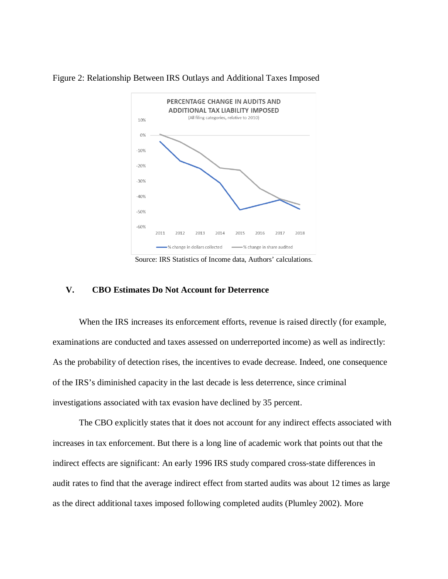



Source: IRS Statistics of Income data, Authors' calculations.

## **V. CBO Estimates Do Not Account for Deterrence**

When the IRS increases its enforcement efforts, revenue is raised directly (for example, examinations are conducted and taxes assessed on underreported income) as well as indirectly: As the probability of detection rises, the incentives to evade decrease. Indeed, one consequence of the IRS's diminished capacity in the last decade is less deterrence, since criminal investigations associated with tax evasion have [declined](https://www.nytimes.com/2018/10/01/business/economy/irs-tax-fraud-audit.html) by 35 percent.

The CBO explicitly states that it does not account for any indirect effects associated with increases in tax enforcement. But there is a long line of academic work that points out that the indirect effects are significant: An early 1996 IRS study compared cross-state differences in audit rates to find that the average indirect effect from started audits was about 12 times as large as the direct additional taxes imposed following completed audits (Plumley 2002). More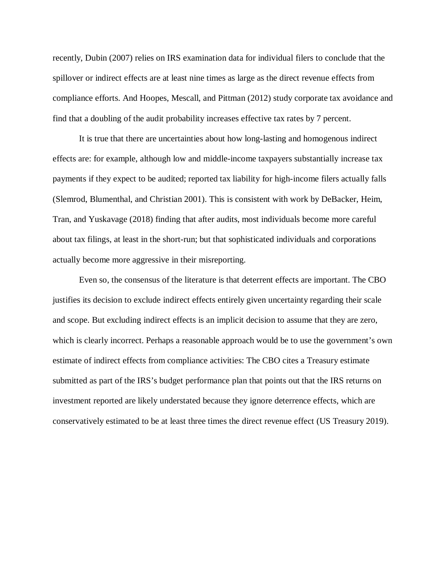recently, Dubin (2007) relies on IRS examination data for individual filers to conclude that the spillover or indirect effects are at least nine times as large as the direct revenue effects from compliance efforts. And Hoopes, Mescall, and Pittman (2012) study corporate tax avoidance and find that a doubling of the audit probability increases effective tax rates by 7 percent.

It is true that there are uncertainties about how long-lasting and homogenous indirect effects are: for example, although low and middle-income taxpayers substantially increase tax payments if they expect to be audited; reported tax liability for high-income filers actually falls (Slemrod, Blumenthal, and Christian 2001). This is consistent with work by DeBacker, Heim, Tran, and Yuskavage (2018) finding that after audits, most individuals become more careful about tax filings, at least in the short-run; but that sophisticated individuals and corporations actually become more aggressive in their misreporting.

Even so, the consensus of the literature is that deterrent effects are important. The CBO justifies its decision to exclude indirect effects entirely given uncertainty regarding their scale and scope. But excluding indirect effects is an implicit decision to assume that they are zero, which is clearly incorrect. Perhaps a reasonable approach would be to use the government's own estimate of indirect effects from compliance activities: The CBO cites a Treasury estimate submitted as part of the IRS's budget performance plan that points out that the IRS returns on investment reported are likely understated because they ignore deterrence effects, which are conservatively estimated to be at least three times the direct revenue effect (US Treasury 2019).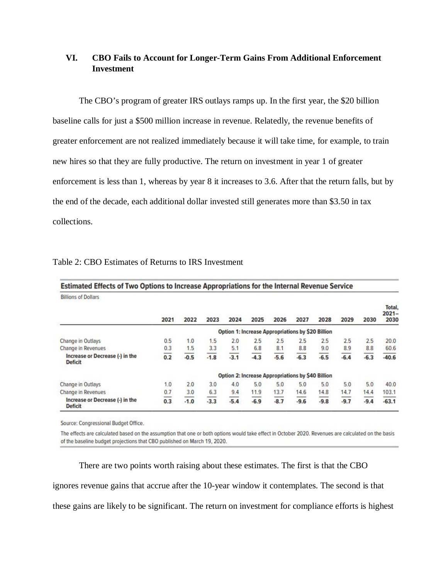# **VI. CBO Fails to Account for Longer-Term Gains From Additional Enforcement Investment**

The CBO's program of greater IRS outlays ramps up. In the first year, the \$20 billion baseline calls for just a \$500 million increase in revenue. Relatedly, the revenue benefits of greater enforcement are not realized immediately because it will take time, for example, to train new hires so that they are fully productive. The return on investment in year 1 of greater enforcement is less than 1, whereas by year 8 it increases to 3.6. After that the return falls, but by the end of the decade, each additional dollar invested still generates more than \$3.50 in tax collections.

| Estimated Effects of Two Options to Increase Appropriations for the Internal Revenue Service |                                                          |        |        |        |        |                                                          |        |              |        |                 |                            |
|----------------------------------------------------------------------------------------------|----------------------------------------------------------|--------|--------|--------|--------|----------------------------------------------------------|--------|--------------|--------|-----------------|----------------------------|
| <b>Billions of Dollars</b>                                                                   |                                                          |        |        |        |        |                                                          |        |              |        |                 |                            |
|                                                                                              | 2021                                                     | 2022   | 2023   | 2024   | 2025   | 2026                                                     | 2027   | 2028         | 2029   | 2030            | Total.<br>$2021 -$<br>2030 |
|                                                                                              | <b>Option 1: Increase Appropriations by \$20 Billion</b> |        |        |        |        |                                                          |        |              |        |                 |                            |
| Change in Outlays                                                                            | 0.5                                                      | 1.0    | 1.5    | 2.0    | 2.5    | 2.5                                                      | 2.5    | 2.5          | 2.5    | 2.5             | 20.0                       |
| Change in Revenues                                                                           | 0.3                                                      | 1.5    | 3.3    | 5.1    | 6.8    | 8.1                                                      | 8.8    | 9.0          | 8.9    | 8.8             | 60.6                       |
| Increase or Decrease (-) in the<br><b>Deficit</b>                                            | --<br>0.2                                                | $-0.5$ | $-1.8$ | $-3.1$ | $-4.3$ | __<br>$-5.6$                                             | $-6.3$ | __<br>$-6.5$ | $-6.4$ | -----<br>$-6.3$ | $-40.6$                    |
|                                                                                              |                                                          |        |        |        |        | <b>Option 2: Increase Appropriations by \$40 Billion</b> |        |              |        |                 |                            |
| Change in Outlays                                                                            | 1.0                                                      | 2.0    | 3.0    | 4.0    | 5.0    | 5.0                                                      | 5.0    | 5.0          | 5.0    | 5.0             | 40.0                       |
| Change in Revenues                                                                           | 0.7                                                      | 3.0    | 6.3    | 9.4    | 11.9   | 13.7                                                     | 14.6   | 14.8         | 14.7   | 14.4            | 103.1                      |
| Increase or Decrease (-) in the<br><b>Deficit</b>                                            | 0.3                                                      | $-1.0$ | $-3.3$ | $-5.4$ | $-6.9$ | $-8.7$                                                   | $-9.6$ | $-9.8$       | $-9.7$ | $-9.4$          | $-63.1$                    |

### Table 2: CBO Estimates of Returns to IRS Investment

Source: Congressional Budget Office.

The effects are calculated based on the assumption that one or both options would take effect in October 2020. Revenues are calculated on the basis of the baseline budget projections that CBO published on March 19, 2020.

There are two points worth raising about these estimates. The first is that the CBO ignores revenue gains that accrue after the 10-year window it contemplates. The second is that these gains are likely to be significant. The return on investment for compliance efforts is highest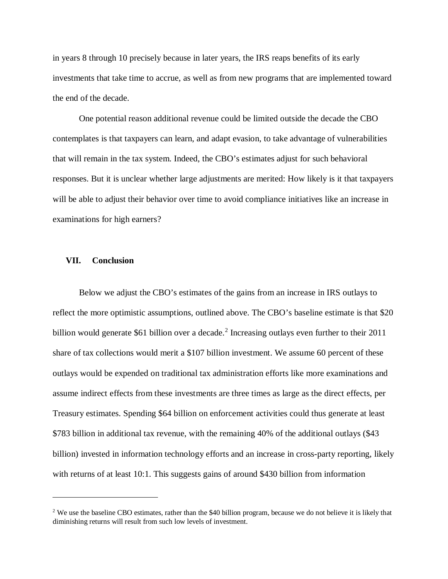in years 8 through 10 precisely because in later years, the IRS reaps benefits of its early investments that take time to accrue, as well as from new programs that are implemented toward the end of the decade.

One potential reason additional revenue could be limited outside the decade the CBO contemplates is that taxpayers can learn, and adapt evasion, to take advantage of vulnerabilities that will remain in the tax system. Indeed, the CBO's estimates adjust for such behavioral responses. But it is unclear whether large adjustments are merited: How likely is it that taxpayers will be able to adjust their behavior over time to avoid compliance initiatives like an increase in examinations for high earners?

#### **VII. Conclusion**

Ξ

Below we adjust the CBO's estimates of the gains from an increase in IRS outlays to reflect the more optimistic assumptions, outlined above. The CBO's baseline estimate is that \$20 billion would generate \$61 billion over a decade. [2](#page-13-0) Increasing outlays even further to their 2011 share of tax collections would merit a \$107 billion investment. We assume 60 percent of these outlays would be expended on traditional tax administration efforts like more examinations and assume indirect effects from these investments are three times as large as the direct effects, per Treasury estimates. Spending \$64 billion on enforcement activities could thus generate at least \$783 billion in additional tax revenue, with the remaining 40% of the additional outlays (\$43 billion) invested in information technology efforts and an increase in cross-party reporting, likely with returns of at least 10:1. This suggests gains of around \$430 billion from information

<span id="page-13-0"></span><sup>&</sup>lt;sup>2</sup> We use the baseline CBO estimates, rather than the \$40 billion program, because we do not believe it is likely that diminishing returns will result from such low levels of investment.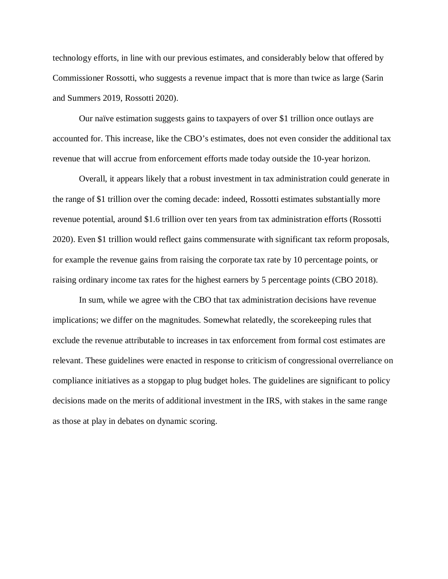technology efforts, in line with our previous estimates, and considerably below that offered by Commissioner Rossotti, who suggests a revenue impact that is more than twice as large (Sarin and Summers 2019, Rossotti 2020).

Our naïve estimation suggests gains to taxpayers of over \$1 trillion once outlays are accounted for. This increase, like the CBO's estimates, does not even consider the additional tax revenue that will accrue from enforcement efforts made today outside the 10-year horizon.

Overall, it appears likely that a robust investment in tax administration could generate in the range of \$1 trillion over the coming decade: indeed, Rossotti estimates substantially more revenue potential, around \$1.6 trillion over ten years from tax administration efforts (Rossotti 2020). Even \$1 trillion would reflect gains commensurate with significant tax reform proposals, for example the revenue gains from raising the corporate tax rate by 10 percentage points, or raising ordinary income tax rates for the highest earners by 5 percentage points (CBO 2018).

In sum, while we agree with the CBO that tax administration decisions have revenue implications; we differ on the magnitudes. Somewhat relatedly, the scorekeeping rules that exclude the revenue attributable to increases in tax enforcement from formal cost estimates are relevant. These guidelines were enacted in response to criticism of congressional overreliance on compliance initiatives as a stopgap to plug budget holes. The guidelines are significant to policy decisions made on the merits of additional investment in the IRS, with stakes in the same range as those at play in debates on dynamic scoring.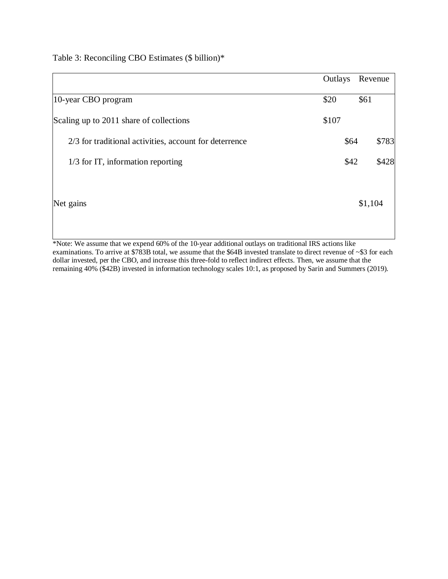Table 3: Reconciling CBO Estimates (\$ billion)\*

|                                                        | Outlays |      | Revenue |       |
|--------------------------------------------------------|---------|------|---------|-------|
| 10-year CBO program                                    | \$20    |      | \$61    |       |
| Scaling up to 2011 share of collections                | \$107   |      |         |       |
| 2/3 for traditional activities, account for deterrence |         | \$64 |         | \$783 |
| $1/3$ for IT, information reporting                    |         | \$42 |         | \$428 |
| Net gains                                              |         |      | \$1,104 |       |

\*Note: We assume that we expend 60% of the 10-year additional outlays on traditional IRS actions like examinations. To arrive at \$783B total, we assume that the \$64B invested translate to direct revenue of ~\$3 for each dollar invested, per the CBO, and increase this three-fold to reflect indirect effects. Then, we assume that the remaining 40% (\$42B) invested in information technology scales 10:1, as proposed by Sarin and Summers (2019).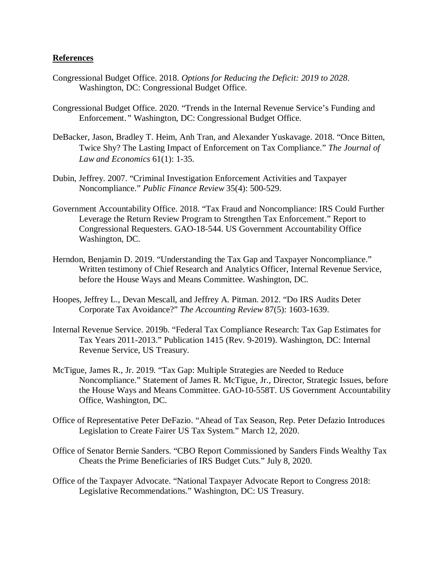### **References**

- Congressional Budget Office. 2018. *Options for Reducing the Deficit: 2019 to 2028*. Washington, DC: Congressional Budget Office.
- Congressional Budget Office. 2020. "Trends in the Internal Revenue Service's Funding and Enforcement.*"* Washington, DC: Congressional Budget Office.
- DeBacker, Jason, Bradley T. Heim, Anh Tran, and Alexander Yuskavage. 2018. "Once Bitten, Twice Shy? The Lasting Impact of Enforcement on Tax Compliance." *The Journal of Law and Economics* 61(1): 1-35.
- Dubin, Jeffrey. 2007. "Criminal Investigation Enforcement Activities and Taxpayer Noncompliance." *Public Finance Review* 35(4): 500-529.
- Government Accountability Office. 2018. "Tax Fraud and Noncompliance: IRS Could Further Leverage the Return Review Program to Strengthen Tax Enforcement." Report to Congressional Requesters. GAO-18-544. US Government Accountability Office Washington, DC.
- Herndon, Benjamin D. 2019. "Understanding the Tax Gap and Taxpayer Noncompliance." Written testimony of Chief Research and Analytics Officer, Internal Revenue Service, before the House Ways and Means Committee. Washington, DC.
- Hoopes, Jeffrey L., Devan Mescall, and Jeffrey A. Pitman. 2012. "Do IRS Audits Deter Corporate Tax Avoidance?" *The Accounting Review* 87(5): 1603-1639.
- Internal Revenue Service. 2019b. "Federal Tax Compliance Research: Tax Gap Estimates for Tax Years 2011-2013." Publication 1415 (Rev. 9-2019). Washington, DC: Internal Revenue Service, US Treasury.
- McTigue, James R., Jr. 2019. "Tax Gap: Multiple Strategies are Needed to Reduce Noncompliance." Statement of James R. McTigue, Jr., Director, Strategic Issues, before the House Ways and Means Committee. GAO-10-558T. US Government Accountability Office, Washington, DC.
- Office of Representative Peter DeFazio. "Ahead of Tax Season, Rep. Peter Defazio Introduces Legislation to Create Fairer US Tax System." March 12, 2020.
- Office of Senator Bernie Sanders. "CBO Report Commissioned by Sanders Finds Wealthy Tax Cheats the Prime Beneficiaries of IRS Budget Cuts." July 8, 2020.
- Office of the Taxpayer Advocate. "National Taxpayer Advocate Report to Congress 2018: Legislative Recommendations." Washington, DC: US Treasury.